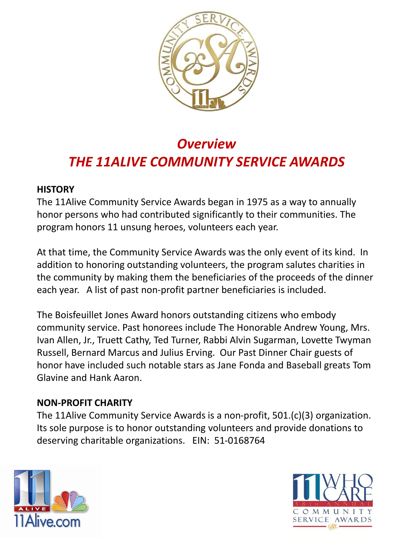

# *Overview THE 11ALIVE COMMUNITY SERVICE AWARDS*

### **HISTORY**

The 11Alive Community Service Awards began in 1975 as a way to annually honor persons who had contributed significantly to their communities. The program honors 11 unsung heroes, volunteers each year.

At that time, the Community Service Awards was the only event of its kind. In addition to honoring outstanding volunteers, the program salutes charities in the community by making them the beneficiaries of the proceeds of the dinner each year. A list of past non-profit partner beneficiaries is included.

The Boisfeuillet Jones Award honors outstanding citizens who embody community service. Past honorees include The Honorable Andrew Young, Mrs. Ivan Allen, Jr., Truett Cathy, Ted Turner, Rabbi Alvin Sugarman, Lovette Twyman Russell, Bernard Marcus and Julius Erving. Our Past Dinner Chair guests of honor have included such notable stars as Jane Fonda and Baseball greats Tom Glavine and Hank Aaron.

### **NON-PROFIT CHARITY**

The 11Alive Community Service Awards is a non-profit, 501.(c)(3) organization. Its sole purpose is to honor outstanding volunteers and provide donations to deserving charitable organizations. EIN: 51-0168764



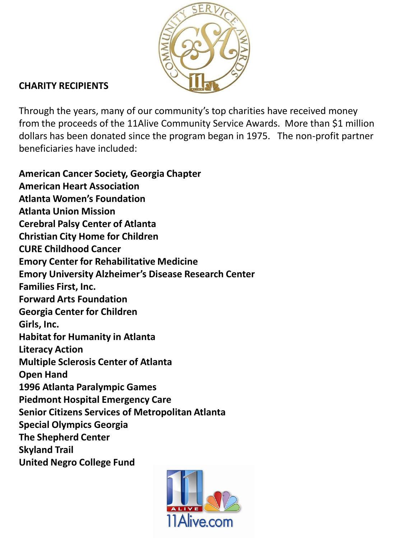

## **CHARITY RECIPIENTS**

Through the years, many of our community's top charities have received money from the proceeds of the 11Alive Community Service Awards. More than \$1 million dollars has been donated since the program began in 1975. The non-profit partner beneficiaries have included:

**American Cancer Society, Georgia Chapter American Heart Association Atlanta Women's Foundation Atlanta Union Mission Cerebral Palsy Center of Atlanta Christian City Home for Children CURE Childhood Cancer Emory Center for Rehabilitative Medicine Emory University Alzheimer's Disease Research Center Families First, Inc. Forward Arts Foundation Georgia Center for Children Girls, Inc. Habitat for Humanity in Atlanta Literacy Action Multiple Sclerosis Center of Atlanta Open Hand 1996 Atlanta Paralympic Games Piedmont Hospital Emergency Care Senior Citizens Services of Metropolitan Atlanta Special Olympics Georgia The Shepherd Center Skyland Trail United Negro College Fund**

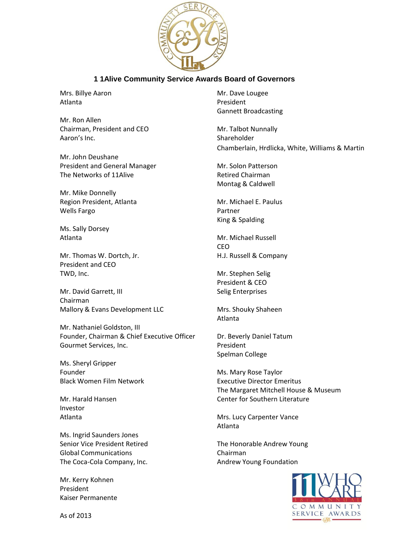

#### **1 1Alive Community Service Awards Board of Governors**

Atlanta **President** 

Mr. Ron Allen Chairman, President and CEO Mr. Talbot Nunnally Aaron's Inc. Shareholder

Mr. John Deushane President and General Manager Mr. Solon Patterson The Networks of 11Alive The Networks of 11Alive Retired Chairman

Mr. Mike Donnelly Region President, Atlanta Mr. Michael E. Paulus Wells Fargo **Partner** Partner

Ms. Sally Dorsey

Mr. Thomas W. Dortch, Jr. Thomas W. Dortch, Jr. Thomas W. Dortch, Jr. H.J. Russell & Company President and CEO TWD, Inc. **Mr. Stephen Selig** 

Mr. David Garrett, III Selig Enterprises Chairman Mallory & Evans Development LLC Mrs. Shouky Shaheen

Mr. Nathaniel Goldston, III Founder, Chairman & Chief Executive Officer Dr. Beverly Daniel Tatum Gourmet Services, Inc. **President** 

Ms. Sheryl Gripper Founder **Ms. Mary Rose Taylor** 

Investor

Ms. Ingrid Saunders Jones Senior Vice President Retired The Honorable Andrew Young Global Communications Chairman The Coca-Cola Company, Inc. The Coca-Cola Company, Inc. Andrew Young Foundation

Mr. Kerry Kohnen President Kaiser Permanente

Mrs. Billye Aaron Mrs. Dave Lougee Gannett Broadcasting

Chamberlain, Hrdlicka, White, Williams & Martin

Montag & Caldwell

King & Spalding

Atlanta **Mr. Michael Russell** CEO

President & CEO

Atlanta

Spelman College

Black Women Film Network **Executive Director Emeritus** The Margaret Mitchell House & Museum Mr. Harald Hansen Center for Southern Literature

Atlanta **Mrs.** Lucy Carpenter Vance Atlanta



As of 2013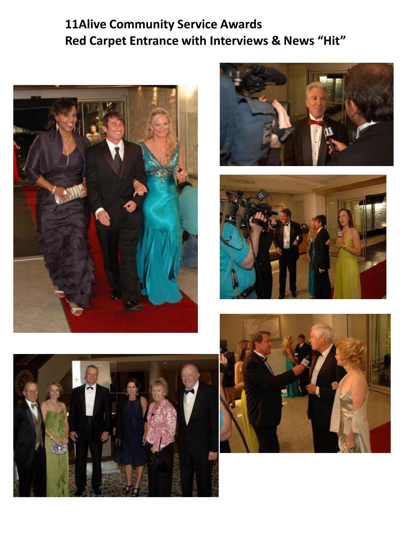## **11Alive Community Service Awards Red Carpet Entrance with Interviews & News "Hit"**









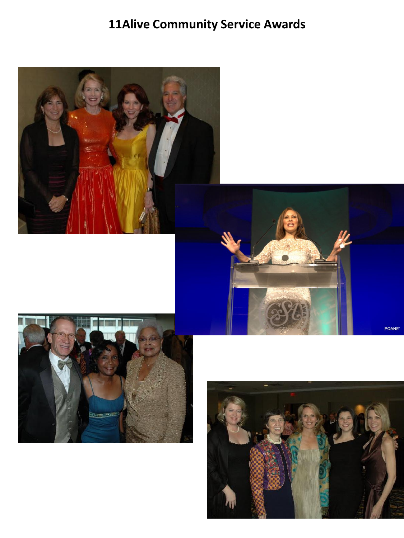# **11Alive Community Service Awards**



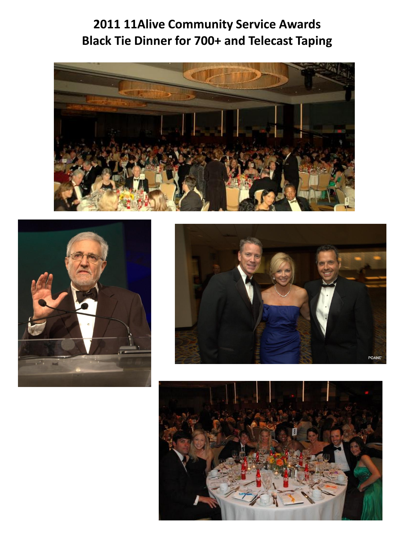## **2011 11Alive Community Service Awards Black Tie Dinner for 700+ and Telecast Taping**